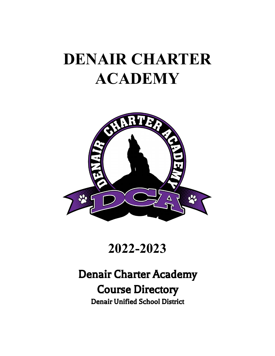# **DENAIR CHARTER ACADEMY**



## **2022-2023**

## Denair Charter Academy Course Directory Denair Unified School District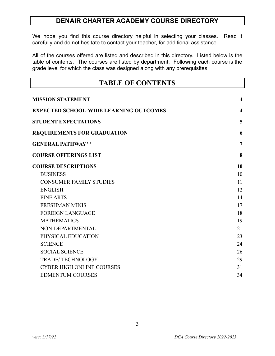#### **DENAIR CHARTER ACADEMY COURSE DIRECTORY**

We hope you find this course directory helpful in selecting your classes. Read it carefully and do not hesitate to contact your teacher, for additional assistance.

All of the courses offered are listed and described in this directory. Listed below is the table of contents. The courses are listed by department. Following each course is the grade level for which the class was designed along with any prerequisites.

| <b>TABLE OF CONTENTS</b>                      |                         |  |  |  |
|-----------------------------------------------|-------------------------|--|--|--|
| <b>MISSION STATEMENT</b>                      | $\overline{\mathbf{4}}$ |  |  |  |
| <b>EXPECTED SCHOOL-WIDE LEARNING OUTCOMES</b> | $\overline{\mathbf{4}}$ |  |  |  |
| <b>STUDENT EXPECTATIONS</b>                   | 5                       |  |  |  |
| <b>REQUIREMENTS FOR GRADUATION</b>            | 6                       |  |  |  |
| <b>GENERAL PATHWAY**</b>                      | $\overline{7}$          |  |  |  |
| <b>COURSE OFFERINGS LIST</b>                  | 8                       |  |  |  |
| <b>COURSE DESCRIPTIONS</b>                    | 10                      |  |  |  |
| <b>BUSINESS</b>                               | 10                      |  |  |  |
| <b>CONSUMER FAMILY STUDIES</b>                | 11                      |  |  |  |
| <b>ENGLISH</b>                                | 12                      |  |  |  |
| <b>FINE ARTS</b>                              | 14                      |  |  |  |
| <b>FRESHMAN MINIS</b>                         | 17                      |  |  |  |
| <b>FOREIGN LANGUAGE</b>                       | 18                      |  |  |  |
| <b>MATHEMATICS</b>                            | 19                      |  |  |  |
| NON-DEPARTMENTAL                              | 21                      |  |  |  |
| PHYSICAL EDUCATION                            | 23                      |  |  |  |
| <b>SCIENCE</b>                                | 24                      |  |  |  |
| <b>SOCIAL SCIENCE</b>                         | 26                      |  |  |  |
| <b>TRADE/TECHNOLOGY</b>                       | 29                      |  |  |  |
| <b>CYBER HIGH ONLINE COURSES</b>              | 31                      |  |  |  |
| <b>EDMENTUM COURSES</b>                       | 34                      |  |  |  |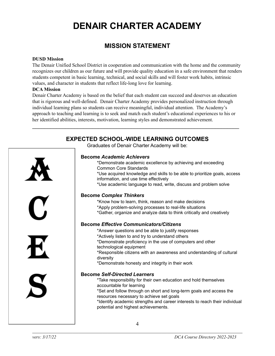## **DENAIR CHARTER ACADEMY**

#### **MISSION STATEMENT**

#### <span id="page-3-0"></span>**DUSD Mission**

The Denair Unified School District in cooperation and communication with the home and the community recognizes our children as our future and will provide quality education in a safe environment that renders students competent in basic learning, technical, and social skills and will foster work habits, intrinsic values, and character in students that reflect life-long love for learning.

#### **DCA Mission**

Denair Charter Academy is based on the belief that each student can succeed and deserves an education that is rigorous and well-defined. Denair Charter Academy provides personalized instruction through individual learning plans so students can receive meaningful, individual attention. The Academy's approach to teaching and learning is to seek and match each student's educational experiences to his or her identified abilities, interests, motivation, learning styles and demonstrated achievement.

<span id="page-3-1"></span>\_\_\_\_\_\_\_\_\_\_\_\_\_\_\_\_\_\_\_\_\_\_\_\_\_\_\_\_\_\_\_\_\_\_\_\_\_\_\_\_\_\_\_\_\_\_\_\_\_\_\_\_\_\_\_\_\_\_\_\_\_\_\_\_\_\_\_\_\_

|              | <b>EXPECTED SCHOOL-WIDE LEARNING OUTCOMES</b><br>Graduates of Denair Charter Academy will be:                                                                                                                                                                                                                                                                                 |
|--------------|-------------------------------------------------------------------------------------------------------------------------------------------------------------------------------------------------------------------------------------------------------------------------------------------------------------------------------------------------------------------------------|
|              | <b>Become Academic Achievers</b><br>*Demonstrate academic excellence by achieving and exceeding<br><b>Common Core Standards</b><br>*Use acquired knowledge and skills to be able to prioritize goals, access<br>information, and use time effectively<br>*Use academic language to read, write, discuss and problem solve                                                     |
| $\mathbf{I}$ | <b>Become Complex Thinkers</b><br>*Know how to learn, think, reason and make decisions<br>*Apply problem-solving processes to real-life situations<br>*Gather, organize and analyze data to think critically and creatively<br><b>Become Effective Communicators/Citizens</b>                                                                                                 |
| 七            | *Answer questions and be able to justify responses<br>*Actively listen to and try to understand others<br>*Demonstrate proficiency in the use of computers and other<br>technological equipment<br>*Responsible citizens with an awareness and understanding of cultural<br>diversity<br>*Demonstrate honesty and integrity in their work                                     |
| S            | <b>Become Self-Directed Learners</b><br>*Take responsibility for their own education and hold themselves<br>accountable for learning<br>*Set and follow through on short and long-term goals and access the<br>resources necessary to achieve set goals<br>*Identify academic strengths and career interests to reach their individual<br>potential and highest achievements. |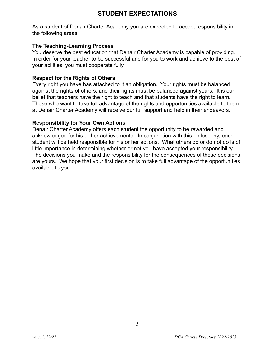<span id="page-4-0"></span>As a student of Denair Charter Academy you are expected to accept responsibility in the following areas:

#### **The Teaching-Learning Process**

You deserve the best education that Denair Charter Academy is capable of providing. In order for your teacher to be successful and for you to work and achieve to the best of your abilities, you must cooperate fully.

#### **Respect for the Rights of Others**

Every right you have has attached to it an obligation. Your rights must be balanced against the rights of others, and their rights must be balanced against yours. It is our belief that teachers have the right to teach and that students have the right to learn. Those who want to take full advantage of the rights and opportunities available to them at Denair Charter Academy will receive our full support and help in their endeavors.

#### **Responsibility for Your Own Actions**

Denair Charter Academy offers each student the opportunity to be rewarded and acknowledged for his or her achievements. In conjunction with this philosophy, each student will be held responsible for his or her actions. What others do or do not do is of little importance in determining whether or not you have accepted your responsibility. The decisions you make and the responsibility for the consequences of those decisions are yours. We hope that your first decision is to take full advantage of the opportunities available to you.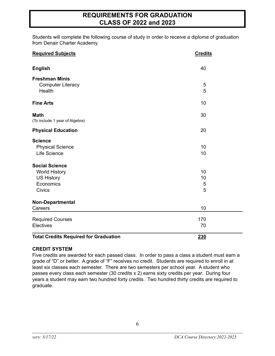#### **REQUIREMENTS FOR GRADUATION CLASS OF 2022 and 2023**

<span id="page-5-0"></span>Students will complete the following course of study in order to receive a diploma of graduation from Denair Charter Academy.

| <b>Required Subjects</b>                                                                         | <b>Credits</b>     |
|--------------------------------------------------------------------------------------------------|--------------------|
| <b>English</b>                                                                                   | 40                 |
| <b>Freshman Minis</b><br><b>Computer Literacy</b><br>Health                                      | 5<br>5             |
| <b>Fine Arts</b>                                                                                 | 10                 |
| <b>Math</b><br>(To include 1 year of Algebra)                                                    | 30                 |
| <b>Physical Education</b>                                                                        | 20                 |
| <b>Science</b><br><b>Physical Science</b><br>Life Science                                        | 10<br>10           |
| <b>Social Science</b><br><b>World History</b><br><b>US History</b><br>Economics<br><b>Civics</b> | 10<br>10<br>5<br>5 |
| Non-Departmental<br>Careers                                                                      | 10                 |
| <b>Required Courses</b><br>Electives                                                             | 170<br>70          |
| <b>Total Credits Required for Graduation</b>                                                     | 230                |

#### **CREDIT SYSTEM**

Five credits are awarded for each passed class. In order to pass a class a student must earn a grade of "D" or better. A grade of "F" receives no credit. Students are required to enroll in at least six classes each semester. There are two semesters per school year. A student who passes every class each semester (30 credits x 2) earns sixty credits per year. During four years a student may earn two hundred forty credits. Two hundred thirty credits are required to graduate.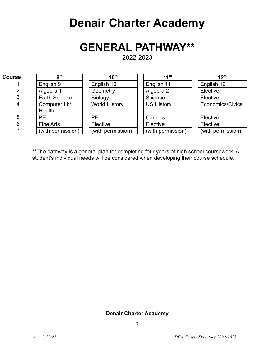## **Denair Charter Academy**

## **GENERAL PATHWAY\*\***

2022-2023

<span id="page-6-0"></span>

| <b>Course</b> | <b>gth</b>           | 10 <sup>th</sup>     | 11 <sup>th</sup>  | 12 <sup>th</sup>  |
|---------------|----------------------|----------------------|-------------------|-------------------|
|               | English 9            | English 10           | English 11        | English 12        |
| 2             | Algebra 1            | Geometry             | Algebra 2         | Elective          |
| 3             | <b>Earth Science</b> | Biology              | Science           | Elective          |
| 4             | Computer Lit/        | <b>World History</b> | <b>US History</b> | Economics/Civics  |
|               | <b>Health</b>        |                      |                   |                   |
| 5             | <b>PE</b>            | <b>PE</b>            | Careers           | Elective          |
| 6             | Fine Arts            | Elective             | Elective          | Elective          |
|               | (with permission)    | (with permission)    | (with permission) | (with permission) |

**\*\***The pathway is a general plan for completing four years of high school coursework. A student's individual needs will be considered when developing their course schedule.

#### **Denair Charter Academy**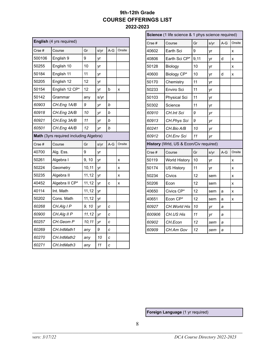#### **9th-12th Grade COURSE OFFERINGS LIST 2022-2023**

<span id="page-7-0"></span>

| English (4 yrs required) |                                        |        |      |       |        |
|--------------------------|----------------------------------------|--------|------|-------|--------|
| Crse #                   | Course                                 | Gr     | s/yr | A-G   | Onsite |
| 500106                   | English 9                              | 9      | yr   |       |        |
| 50255                    | English 10                             | 10     | yr   |       |        |
| 50184                    | English 11                             | 11     | yr   |       |        |
| 50205                    | English 12                             | 12     | yr   |       |        |
| 50154                    | English 12 CP*                         | 12     | yr   | b     | X      |
| 50142                    | Grammar                                | any    | s/yr |       |        |
| 60903                    | CH.Eng 1A/B                            | 9      | yr   | b     |        |
| 60918                    | CH.Eng 2A/B                            | 10     | yr   | b     |        |
| 60921                    | CH.Eng 3A/B                            | 11     | yr   | b     |        |
| 60501                    | CH.Eng 4A/B                            | 12     | yr   | b     |        |
|                          | Math (3yrs required including Algebra) |        |      |       |        |
| Crse #                   | Course                                 | Gr     | s/yr | $A-G$ | Onsite |
| 40700                    | Alg. Ess.                              | 9      | yr   |       |        |
| 50261                    | Algebra I                              | 9, 10  | yr   |       | X      |
| 50224                    | Geometry                               | 10,11  | yr   |       | X      |
| 50235                    | Algebra II                             | 11, 12 | yr   |       | x      |
| 40452                    | Algebra II CP*                         | 11, 12 | yr   | C     | X      |
| 40114                    | Int. Math                              | 11, 12 | yr   |       |        |
| 50202                    | Cons. Math                             | 11, 12 | yr   |       |        |
| 60268                    | CH.Alg I P                             | 9, 10  | yr   | C     |        |
| 60900                    | CH.Alg II P                            | 11, 12 | yr   | C     |        |
| 60257                    | CH.Geom P                              | 10,11  | yr   | C     |        |
| 60269                    | CH.IntMath1                            | any    | 9    | C     |        |
| 60270                    | CH.IntMath2                            | any    | 10   | C     |        |
| 60271                    | CH.IntMath3                            | any    | 11   | C     |        |

| Science (1 life science & 1 phys science required) |                                        |      |      |       |        |
|----------------------------------------------------|----------------------------------------|------|------|-------|--------|
| Crse #                                             | Course                                 | Gr   | s/yr | $A-G$ | Onsite |
| 40602                                              | Earth Sci                              | 9    | yr   |       | X      |
| 40806                                              | Earth Sci CP*                          | 9,11 | yr   | d     | x      |
| 50128                                              | Biology                                | 10   | yr   |       | x      |
| 40600                                              | Biology CP*                            | 10   | yr   | d     | X      |
| 50170                                              | Chemistry                              | 11   | yr   |       |        |
| 50233                                              | Enviro Sci                             | 11   | yr   |       |        |
| 50103                                              | <b>Physical Sci</b>                    | 11   | уr   |       |        |
| 50302                                              | Science                                | 11   | yr   |       |        |
| 60910                                              | CH.Int Sci                             | 9    | yr   |       |        |
| 60913                                              | CH.Phys Sci                            | 9    | yr   |       |        |
| 60241                                              | CH.Bio A/B                             | 10   | yr   |       |        |
| 60912                                              | CH.Env Sci                             | 11   | yr   |       |        |
|                                                    | History (Wrld, US & Econ/Civ required) |      |      |       |        |
| Crse#                                              | Course                                 | Gr   | s/yr | $A-G$ | Onsite |
| 50119                                              | World History                          | 10   | yr   |       | x      |
| 50174                                              | <b>US History</b>                      | 11   | yr   |       | x      |
| 50234                                              | Civics                                 | 12   | sem  |       | x      |
| 50206                                              | Econ                                   | 12   | sem  |       | x      |
| 40650                                              | Civics CP*                             | 12   | sem  | а     | x      |
| 40651                                              | Econ CP*                               | 12   | sem  | a     | X      |
| 60927                                              | CH. World His                          | 10   | yr   | а     |        |
| 600906                                             | CH.US His                              | 11   | yr   | а     |        |
| 60902                                              | CH.Econ                                | 12   | sem  | а     |        |
| 60909                                              | CH.Am Gov                              | 12   | sem  | а     |        |

**Foreign Language** (1 yr required)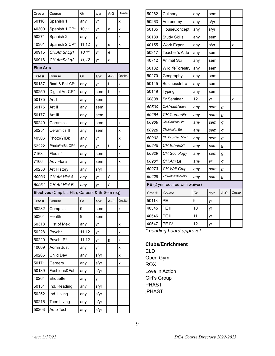| Crse#            | Course                                          | Gr     | s/yr | $A-G$ | Onsite |
|------------------|-------------------------------------------------|--------|------|-------|--------|
| 50116            | Spanish 1                                       | any    | yr   |       | x      |
| 40300            | Spanish 1 CP*                                   | 10,11  | yr   | e     | x      |
| 50271            | Spanish 2                                       | any    | yr   |       | x      |
| 40301            | Spanish 2 CP*                                   | 11, 12 | yr   | e     | x      |
| 60915            | CH.AmSnLg1                                      | 10,11  | yr   | е     |        |
| 60916            | CH.AmSnLg2                                      | 11, 12 | yr   | е     |        |
| <b>Fine Arts</b> |                                                 |        |      |       |        |
| Crse#            | Course                                          | Gr     | s/yr | $A-G$ | Onsite |
| 50187            | Rock & Roll CP*                                 | any    | yr   | f     | x      |
| 50259            | Digital Art CP*                                 | any    | sem  | f     | x      |
| 50175            | Art I                                           | any    | sem  |       |        |
| 50176            | Art II                                          | any    | sem  |       |        |
| 50177            | Art III                                         | any    | sem  |       |        |
| 50249            | Ceramics                                        | any    | sem  |       | x      |
| 50251            | Ceramics II                                     | any    | sem  |       | x      |
| 40506            | Photo/YrBk                                      | any    | yr   |       | x      |
| 52222            | Photo/YrBk CP*                                  | any    | yr   | f     | X      |
| 7163             | Floral 1                                        | any    | sem  |       | X      |
| 7166             | <b>Adv Floral</b>                               | any    | sem  |       | X      |
| 50253            | Art History                                     | any    | s/yr |       |        |
| 60930            | CH.Art Hist A                                   | any    | yr   | f     |        |
| 60931            | <b>CH.Art Hist B</b>                            | any    | yr   | f     |        |
|                  | Electives (Cmp Lit, Hlth, Careers & Sr Sem req) |        |      |       |        |
| Crse#            | Course                                          | Gr     | s/yr | $A-G$ | Onsite |
| 50282            | Comp Lit                                        | 9      | sem  |       | X      |
| 50304            | Health                                          | 9      | sem  |       |        |
| 50318            | Hist of Mex                                     | any    | yr   |       | x      |
| 50228            | Psych*                                          | 11, 12 | yr   |       | x      |
| 50229            | Psych P*                                        | 11, 12 | уr   | g     | x      |
| 40609            | Admn Just                                       | any    | yr   |       | X      |
| 50265            | Child Dev                                       | any    | s/yr |       | x      |
| 50171            | Careers                                         | any    | s/yr |       | x      |
| 50139            | Fashions&Fabr                                   | any    | s/yr |       |        |
| 40264            | Etiquette                                       | any    | yr   |       |        |
| 50151            | Ind. Reading                                    | any    | s/yr |       |        |
| 50252            | Ind. Living                                     | any    | s/yr |       |        |
| 50216            | <b>Teen Living</b>                              | any    | s/yr |       |        |
| 50203            | Auto Tech                                       | any    | s/yr |       |        |
|                  |                                                 |        |      |       |        |

| 50262                           | Culinary             | any | sem  |       |        |
|---------------------------------|----------------------|-----|------|-------|--------|
| 50263                           | Astronomy            | any | s/yr |       |        |
| 50165                           | HouseConcept         | any | s/yr |       |        |
| 50180                           | <b>Study Skills</b>  | any | sem  |       |        |
| 40155                           | Work Exper.          | any | s/yr |       | X      |
| 50317                           | Teacher's Aide       | any | sem  |       |        |
| 40712                           | Animal Sci           | any | sem  |       |        |
| 50132                           | WildlifeForestry     | any | sem  |       |        |
| 50270                           | Geography            | any | sem  |       |        |
| 50145                           | <b>BusinessIntro</b> | any | sem  |       |        |
| 50149                           | Typing               | any | sem  |       |        |
| 60808                           | Sr Seminar           | 12  | yr   |       | X      |
| 60500                           | CH. You&News         | any | sem  | g     |        |
| 60264                           | CH.CareerEx          | any | sem  | g     |        |
| 60908                           | CH. ChoicesLife      | any | sem  | g     |        |
| 60928                           | CH.Health Ed         | any | sem  | g     |        |
| 60902                           | CH.Eco.Dec.Maki      | any | sem  | g     |        |
| 60245                           | <b>CH.EthnicSt</b>   | any | sem  | g     |        |
| 60929                           | CH.Sociology         | any | sem  | g     |        |
| 60901                           | CH.Am Lit            | any | yr   | g     |        |
| 60273                           | CH. Writ. Cmp        | any | sem  | g     |        |
| 60229                           | CH.LearningInfoAge   | any | sem  | g     |        |
| PE (2 yrs required with waiver) |                      |     |      |       |        |
| Crse #                          | Course               | Gr  | s/yr | $A-G$ | Onsite |
| 50113                           | PF                   | 9   | yr   |       |        |
| 40545                           | PE II                | 10  | yr   |       |        |
| 40546                           | PE III               | 11  | уr   |       |        |
| 40547                           | PE IV                | 12  | yr   |       |        |
|                                 |                      |     |      |       |        |

*\* pending board approval*

#### **Clubs/Enrichment**

ELD Open Gym ROX Love in Action Girl's Group PHAST jPHAST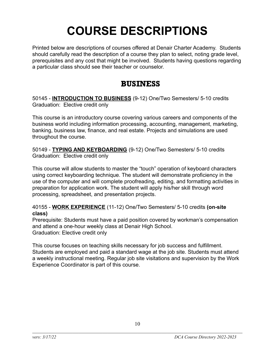## **COURSE DESCRIPTIONS**

<span id="page-9-0"></span>Printed below are descriptions of courses offered at Denair Charter Academy. Students should carefully read the description of a course they plan to select, noting grade level, prerequisites and any cost that might be involved. Students having questions regarding a particular class should see their teacher or counselor.

### BUSINESS

<span id="page-9-1"></span>50145 - **INTRODUCTION TO BUSINESS** (9-12) One/Two Semesters/ 5-10 credits Graduation: Elective credit only

This course is an introductory course covering various careers and components of the business world including information processing, accounting, management, marketing, banking, business law, finance, and real estate. Projects and simulations are used throughout the course.

50149 - **TYPING AND KEYBOARDING** (9-12) One/Two Semesters/ 5-10 credits Graduation: Elective credit only

This course will allow students to master the "touch" operation of keyboard characters using correct keyboarding technique. The student will demonstrate proficiency in the use of the computer and will complete proofreading, editing, and formatting activities in preparation for application work. The student will apply his/her skill through word processing, spreadsheet, and presentation projects.

40155 - **WORK EXPERIENCE** (11-12) One/Two Semesters/ 5-10 credits **(on-site class)**

Prerequisite: Students must have a paid position covered by workman's compensation and attend a one-hour weekly class at Denair High School. Graduation: Elective credit only

This course focuses on teaching skills necessary for job success and fulfillment. Students are employed and paid a standard wage at the job site. Students must attend a weekly instructional meeting. Regular job site visitations and supervision by the Work Experience Coordinator is part of this course.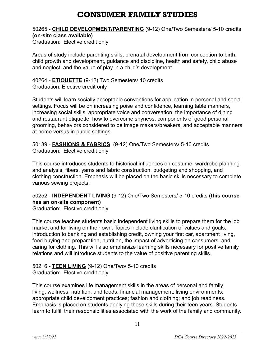## CONSUMER FAMILY STUDIES

#### <span id="page-10-0"></span>50265 - **CHILD DEVELOPMENT/PARENTING** (9-12) One/Two Semesters/ 5-10 credits **(on-site class available)**

Graduation: Elective credit only

Areas of study include parenting skills, prenatal development from conception to birth, child growth and development, guidance and discipline, health and safety, child abuse and neglect, and the value of play in a child's development.

40264 - **ETIQUETTE** (9-12) Two Semesters/ 10 credits Graduation: Elective credit only

Students will learn socially acceptable conventions for application in personal and social settings. Focus will be on increasing poise and confidence, learning table manners, increasing social skills, appropriate voice and conversation, the importance of dining and restaurant etiquette, how to overcome shyness, components of good personal grooming, behaviors considered to be image makers/breakers, and acceptable manners at home versus in public settings.

50139 - **FASHIONS & FABRICS** (9-12) One/Two Semesters/ 5-10 credits Graduation: Elective credit only

This course introduces students to historical influences on costume, wardrobe planning and analysis, fibers, yarns and fabric construction, budgeting and shopping, and clothing construction. Emphasis will be placed on the basic skills necessary to complete various sewing projects.

50252 - **INDEPENDENT LIVING** (9-12) One/Two Semesters/ 5-10 credits **(this course has an on-site component)**

Graduation: Elective credit only

This course teaches students basic independent living skills to prepare them for the job market and for living on their own. Topics include clarification of values and goals, introduction to banking and establishing credit, owning your first car, apartment living, food buying and preparation, nutrition, the impact of advertising on consumers, and caring for clothing. This will also emphasize learning skills necessary for positive family relations and will introduce students to the value of positive parenting skills.

50216 - **TEEN LIVING** (9-12) One/Two/ 5-10 credits Graduation: Elective credit only

This course examines life management skills in the areas of personal and family living, wellness, nutrition, and foods, financial management; living environments; appropriate child development practices; fashion and clothing; and job readiness. Emphasis is placed on students applying these skills during their teen years. Students learn to fulfill their responsibilities associated with the work of the family and community.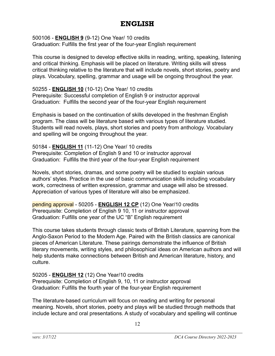### ENGLISH

<span id="page-11-0"></span>500106 - **ENGLISH 9** (9-12) One Year/ 10 credits

Graduation: Fulfills the first year of the four-year English requirement

This course is designed to develop effective skills in reading, writing, speaking, listening and critical thinking. Emphasis will be placed on literature. Writing skills will stress critical thinking relative to the literature that will include novels, short stories, poetry and plays. Vocabulary, spelling, grammar and usage will be ongoing throughout the year.

50255 - **ENGLISH 10** (10-12) One Year/ 10 credits Prerequisite: Successful completion of English 9 or instructor approval Graduation: Fulfills the second year of the four-year English requirement

Emphasis is based on the continuation of skills developed in the freshman English program. The class will be literature based with various types of literature studied. Students will read novels, plays, short stories and poetry from anthology. Vocabulary and spelling will be ongoing throughout the year.

50184 - **ENGLISH 11** (11-12) One Year/ 10 credits Prerequisite: Completion of English 9 and 10 or instructor approval Graduation: Fulfills the third year of the four-year English requirement

Novels, short stories, dramas, and some poetry will be studied to explain various authors' styles. Practice in the use of basic communication skills including vocabulary work, correctness of written expression, grammar and usage will also be stressed. Appreciation of various types of literature will also be emphasized.

pending approval - 50205 - **ENGLISH 12 CP** (12) One Year/10 credits Prerequisite: Completion of English 9 10, 11 or instructor approval Graduation: Fulfills one year of the UC "B" English requirement

This course takes students through classic texts of British Literature, spanning from the Anglo-Saxon Period to the Modern Age. Paired with the British classics are canonical pieces of American Literature. These pairings demonstrate the influence of British literary movements, writing styles, and philosophical ideas on American authors and will help students make connections between British and American literature, history, and culture.

50205 - **ENGLISH 12** (12) One Year/10 credits Prerequisite: Completion of English 9, 10, 11 or instructor approval Graduation: Fulfills the fourth year of the four-year English requirement

The literature-based curriculum will focus on reading and writing for personal meaning. Novels, short stories, poetry and plays will be studied through methods that include lecture and oral presentations. A study of vocabulary and spelling will continue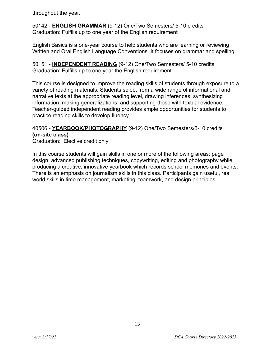throughout the year.

50142 - **ENGLISH GRAMMAR** (9-12) One/Two Semesters/ 5-10 credits Graduation: Fulfills up to one year of the English requirement

English Basics is a one-year course to help students who are learning or reviewing Written and Oral English Language Conventions. It focuses on grammar and spelling.

50151 - **INDEPENDENT READING** (9-12) One/Two Semesters/ 5-10 credits Graduation: Fulfills up to one year the English requirement

This course is designed to improve the reading skills of students through exposure to a variety of reading materials. Students select from a wide range of informational and narrative texts at the appropriate reading level, drawing inferences, synthesizing information, making generalizations, and supporting those with textual evidence. Teacher-guided independent reading provides ample opportunities for students to practice reading skills to develop fluency.

#### 40506 - **YEARBOOK/PHOTOGRAPHY** (9-12) One/Two Semesters/5-10 credits **(on-site class)**

Graduation: Elective credit only

In this course students will gain skills in one or more of the following areas: page design, advanced publishing techniques, copywriting, editing and photography while producing a creative, innovative yearbook which records school memories and events. There is an emphasis on journalism skills in this class. Participants gain useful, real world skills in time management, marketing, teamwork, and design principles.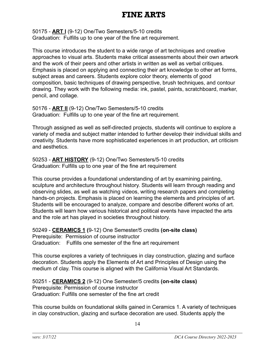## INE ARTS

<span id="page-13-0"></span>50175 - **ART l** (9-12) One/Two Semesters/5-10 credits Graduation: Fulfills up to one year of the fine art requirement.

This course introduces the student to a wide range of art techniques and creative approaches to visual arts. Students make critical assessments about their own artwork and the work of their peers and other artists in written as well as verbal critiques. Emphasis is placed on applying and connecting their art knowledge to other art forms, subject areas and careers. Students explore color theory, elements of good composition, basic techniques of drawing perspective, brush techniques, and contour drawing. They work with the following media: ink, pastel, paints, scratchboard, marker, pencil, and collage.

50176 - **ART ll** (9-12) One/Two Semesters/5-10 credits Graduation: Fulfills up to one year of the fine art requirement.

Through assigned as well as self-directed projects, students will continue to explore a variety of media and subject matter intended to further develop their individual skills and creativity. Students have more sophisticated experiences in art production, art criticism and aesthetics.

50253 - **ART HISTORY** (9-12) One/Two Semesters/5-10 credits Graduation: Fulfills up to one year of the fine art requirement

This course provides a foundational understanding of art by examining painting, sculpture and architecture throughout history. Students will learn through reading and observing slides, as well as watching videos, writing research papers and completing hands-on projects. Emphasis is placed on learning the elements and principles of art. Students will be encouraged to analyze, compare and describe different works of art. Students will learn how various historical and political events have impacted the arts and the role art has played in societies throughout history.

50249 - **CERAMICS 1 (**9-12) One Semester/5 credits **(on-site class)** Prerequisite: Permission of course instructor Graduation: Fulfills one semester of the fine art requirement

This course explores a variety of techniques in clay construction, glazing and surface decoration. Students apply the Elements of Art and Principles of Design using the medium of clay. This course is aligned with the California Visual Art Standards.

50251 - **CERAMICS 2** (9-12) One Semester/5 credits **(on-site class)** Prerequisite: Permission of course instructor Graduation: Fulfills one semester of the fine art credit

This course builds on foundational skills gained in Ceramics 1. A variety of techniques in clay construction, glazing and surface decoration are used. Students apply the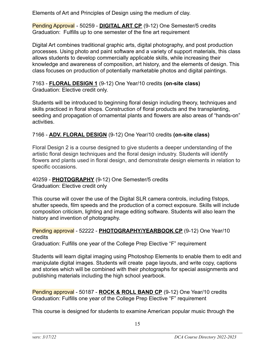Elements of Art and Principles of Design using the medium of clay.

Pending Approval - 50259 - **DIGITAL ART CP** (9-12) One Semester/5 credits Graduation: Fulfills up to one semester of the fine art requirement

Digital Art combines traditional graphic arts, digital photography, and post production processes. Using photo and paint software and a variety of support materials, this class allows students to develop commercially applicable skills, while increasing their knowledge and awareness of composition, art history, and the elements of design. This class focuses on production of potentially marketable photos and digital paintings.

7163 - **FLORAL DESIGN 1** (9-12) One Year/10 credits **(on-site class)** Graduation: Elective credit only.

Students will be introduced to beginning floral design including theory, techniques and skills practiced in floral shops. Construction of floral products and the transplanting, seeding and propagation of ornamental plants and flowers are also areas of "hands-on" activities.

#### 7166 - **ADV. FLORAL DESIGN** (9-12) One Year/10 credits **(on-site class)**

Floral Design 2 is a course designed to give students a deeper understanding of the artistic floral design techniques and the floral design industry. Students will identify flowers and plants used in floral design, and demonstrate design elements in relation to specific occasions.

#### 40259 - **PHOTOGRAPHY** (9-12) One Semester/5 credits Graduation: Elective credit only

This course will cover the use of the Digital SLR camera controls, including f/stops, shutter speeds, film speeds and the production of a correct exposure. Skills will include composition criticism, lighting and image editing software. Students will also learn the history and invention of photography.

### Pending approval - 52222 - **PHOTOGRAPHY/YEARBOOK CP** (9-12) One Year/10 credits

Graduation: Fulfills one year of the College Prep Elective "F" requirement

Students will learn digital imaging using Photoshop Elements to enable them to edit and manipulate digital images. Students will create page layouts, and write copy, captions and stories which will be combined with their photographs for special assignments and publishing materials including the high school yearbook.

Pending approval - 50187 - **ROCK & ROLL BAND CP** (9-12) One Year/10 credits Graduation: Fulfills one year of the College Prep Elective "F" requirement

This course is designed for students to examine American popular music through the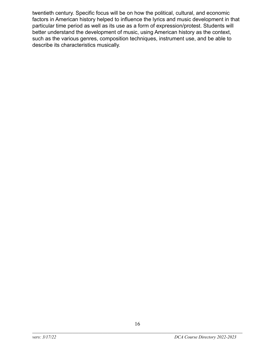twentieth century. Specific focus will be on how the political, cultural, and economic factors in American history helped to influence the lyrics and music development in that particular time period as well as its use as a form of expression/protest. Students will better understand the development of music, using American history as the context, such as the various genres, composition techniques, instrument use, and be able to describe its characteristics musically.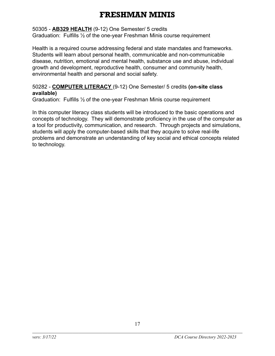## FRESHMAN MINIS

#### <span id="page-16-0"></span>50305 - **AB329 HEALTH** (9-12) One Semester/ 5 credits

Graduation: Fulfills ½ of the one-year Freshman Minis course requirement

Health is a required course addressing federal and state mandates and frameworks. Students will learn about personal health, communicable and non-communicable disease, nutrition, emotional and mental health, substance use and abuse, individual growth and development, reproductive health, consumer and community health, environmental health and personal and social safety.

#### 50282 - **COMPUTER LITERACY** (9-12) One Semester/ 5 credits **(on-site class available)**

Graduation: Fulfills ½ of the one-year Freshman Minis course requirement

In this computer literacy class students will be introduced to the basic operations and concepts of technology. They will demonstrate proficiency in the use of the computer as a tool for productivity, communication, and research. Through projects and simulations, students will apply the computer-based skills that they acquire to solve real-life problems and demonstrate an understanding of key social and ethical concepts related to technology.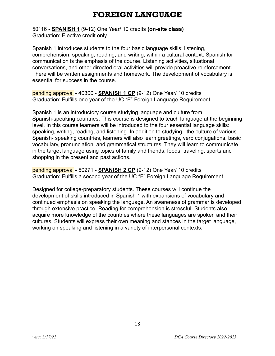## FOREIGN LANGUAGE

<span id="page-17-0"></span>50116 - **SPANISH 1** (9-12) One Year/ 10 credits **(on-site class)** Graduation: Elective credit only

Spanish 1 introduces students to the four basic language skills: listening, comprehension, speaking, reading, and writing, within a cultural context. Spanish for communication is the emphasis of the course. Listening activities, situational conversations, and other directed oral activities will provide proactive reinforcement. There will be written assignments and homework. The development of vocabulary is essential for success in the course.

pending approval - 40300 - **SPANISH 1 CP** (9-12) One Year/ 10 credits Graduation: Fulfills one year of the UC "E" Foreign Language Requirement

Spanish 1 is an introductory course studying language and culture from Spanish-speaking countries. This course is designed to teach language at the beginning level. In this course learners will be introduced to the four essential language skills: speaking, writing, reading, and listening. In addition to studying the culture of various Spanish- speaking countries, learners will also learn greetings, verb conjugations, basic vocabulary, pronunciation, and grammatical structures. They will learn to communicate in the target language using topics of family and friends, foods, traveling, sports and shopping in the present and past actions.

pending approval - 50271 - **SPANISH 2 CP** (9-12) One Year/ 10 credits Graduation: Fulfills a second year of the UC "E" Foreign Language Requirement

Designed for college-preparatory students. These courses will continue the development of skills introduced in Spanish 1 with expansions of vocabulary and continued emphasis on speaking the language. An awareness of grammar is developed through extensive practice. Reading for comprehension is stressful. Students also acquire more knowledge of the countries where these languages are spoken and their cultures. Students will express their own meaning and stances in the target language, working on speaking and listening in a variety of interpersonal contexts.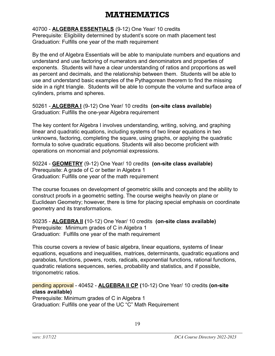## **ATHEMATICS**

<span id="page-18-0"></span>40700 - **ALGEBRA ESSENTIALS** (9-12) One Year/ 10 credits Prerequisite: Eligibility determined by student's score on math placement test Graduation: Fulfills one year of the math requirement

By the end of Algebra Essentials will be able to manipulate numbers and equations and understand and use factoring of numerators and denominators and properties of exponents. Students will have a clear understanding of ratios and proportions as well as percent and decimals, and the relationship between them. Students will be able to use and understand basic examples of the Pythagorean theorem to find the missing side in a right triangle. Students will be able to compute the volume and surface area of cylinders, prisms and spheres.

50261 - **ALGEBRA I** (9-12) One Year/ 10 credits **(on-site class available)** Graduation: Fulfills the one-year Algebra requirement

The key content for Algebra I involves understanding, writing, solving, and graphing linear and quadratic equations, including systems of two linear equations in two unknowns, factoring, completing the square, using graphs, or applying the quadratic formula to solve quadratic equations. Students will also become proficient with operations on monomial and polynomial expressions.

50224 - **GEOMETRY** (9-12) One Year/ 10 credits **(on-site class available)** Prerequisite: A grade of C or better in Algebra 1 Graduation: Fulfills one year of the math requirement

The course focuses on development of geometric skills and concepts and the ability to construct proofs in a geometric setting. The course weighs heavily on plane or Euclidean Geometry; however, there is time for placing special emphasis on coordinate geometry and its transformations.

50235 - **ALGEBRA ll (**10-12) One Year/ 10 credits **(on-site class available)** Prerequisite: Minimum grades of C in Algebra 1 Graduation: Fulfills one year of the math requirement

This course covers a review of basic algebra, linear equations, systems of linear equations, equations and inequalities, matrices, determinants, quadratic equations and parabolas, functions, powers, roots, radicals, exponential functions, rational functions, quadratic relations sequences, series, probability and statistics, and if possible, trigonometric ratios.

pending approval - 40452 - **ALGEBRA ll CP (**10-12) One Year/ 10 credits **(on-site class available)**

Prerequisite: Minimum grades of C in Algebra 1 Graduation: Fulfills one year of the UC "C" Math Requirement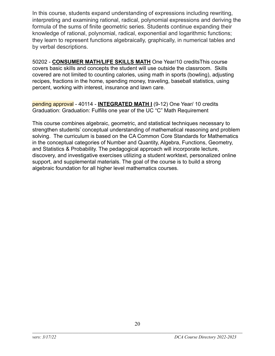In this course, students expand understanding of expressions including rewriting, interpreting and examining rational, radical, polynomial expressions and deriving the formula of the sums of finite geometric series. Students continue expanding their knowledge of rational, polynomial, radical, exponential and logarithmic functions; they learn to represent functions algebraically, graphically, in numerical tables and by verbal descriptions.

50202 - **CONSUMER MATH/LIFE SKILLS MATH** One Year/10 creditsThis course covers basic skills and concepts the student will use outside the classroom. Skills covered are not limited to counting calories, using math in sports (bowling), adjusting recipes, fractions in the home, spending money, traveling, baseball statistics, using percent, working with interest, insurance and lawn care.

pending approval - 40114 - **INTEGRATED MATH I** (9-12) One Year/ 10 credits Graduation: Graduation: Fulfills one year of the UC "C" Math Requirement

This course combines algebraic, geometric, and statistical techniques necessary to strengthen students' conceptual understanding of mathematical reasoning and problem solving. The curriculum is based on the CA Common Core Standards for Mathematics in the conceptual categories of Number and Quantity, Algebra, Functions, Geometry, and Statistics & Probability. The pedagogical approach will incorporate lecture, discovery, and investigative exercises utilizing a student worktext, personalized online support, and supplemental materials. The goal of the course is to build a strong algebraic foundation for all higher level mathematics courses.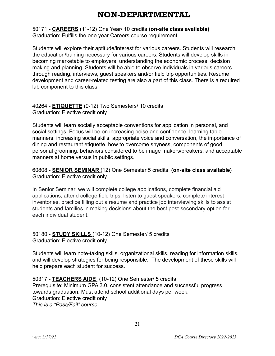## NON-DEPARTMENTAL

<span id="page-20-0"></span>50171 - **CAREERS** (11-12) One Year/ 10 credits **(on-site class available)** Graduation: Fulfills the one year Careers course requirement

Students will explore their aptitude/interest for various careers. Students will research the education/training necessary for various careers. Students will develop skills in becoming marketable to employers, understanding the economic process, decision making and planning. Students will be able to observe individuals in various careers through reading, interviews, guest speakers and/or field trip opportunities. Resume development and career-related testing are also a part of this class. There is a required lab component to this class.

40264 - **ETIQUETTE** (9-12) Two Semesters/ 10 credits Graduation: Elective credit only

Students will learn socially acceptable conventions for application in personal, and social settings. Focus will be on increasing poise and confidence, learning table manners, increasing social skills, appropriate voice and conversation, the importance of dining and restaurant etiquette, how to overcome shyness, components of good personal grooming, behaviors considered to be image makers/breakers, and acceptable manners at home versus in public settings.

60808 - **SENIOR SEMINAR** (12) One Semester 5 credits **(on-site class available)** Graduation: Elective credit only.

In Senior Seminar, we will complete college applications, complete financial aid applications, attend college field trips, listen to guest speakers, complete interest inventories, practice filling out a resume and practice job interviewing skills to assist students and families in making decisions about the best post-secondary option for each individual student.

50180 - **STUDY SKILLS** (10-12) One Semester/ 5 credits Graduation: Elective credit only.

Students will learn note-taking skills, organizational skills, reading for information skills, and will develop strategies for being responsible. The development of these skills will help prepare each student for success.

50317 - **TEACHERS AIDE** (10-12) One Semester/ 5 credits Prerequisite: Minimum GPA 3.0, consistent attendance and successful progress towards graduation. Must attend school additional days per week. Graduation: Elective credit only *This is a "Pass/Fail" course*.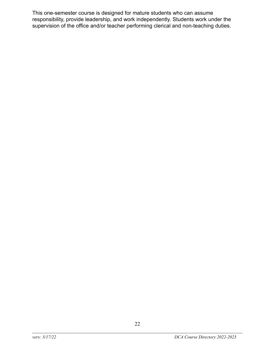This one-semester course is designed for mature students who can assume responsibility, provide leadership, and work independently. Students work under the supervision of the office and/or teacher performing clerical and non-teaching duties.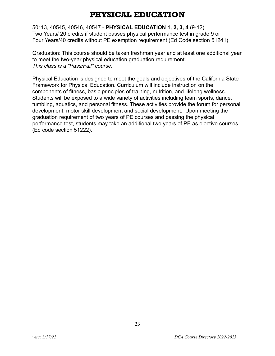## PHYSICAL EDUCATION

<span id="page-22-0"></span>50113, 40545, 40546, 40547 - **PHYSICAL EDUCATION 1, 2, 3, 4** (9-12) Two Years/ 20 credits if student passes physical performance test in grade 9 or Four Years/40 credits without PE exemption requirement (Ed Code section 51241)

Graduation: This course should be taken freshman year and at least one additional year to meet the two-year physical education graduation requirement. *This class is a "Pass/Fail" course.*

Physical Education is designed to meet the goals and objectives of the California State Framework for Physical Education. Curriculum will include instruction on the components of fitness, basic principles of training, nutrition, and lifelong wellness. Students will be exposed to a wide variety of activities including team sports, dance, tumbling, aquatics, and personal fitness. These activities provide the forum for personal development, motor skill development and social development. Upon meeting the graduation requirement of two years of PE courses and passing the physical performance test, students may take an additional two years of PE as elective courses (Ed code section 51222).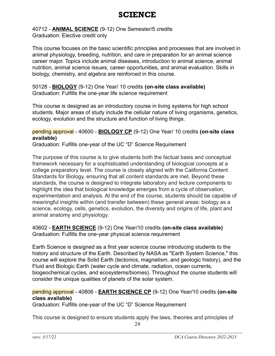## SCIENCE

<span id="page-23-0"></span>40712 - **ANIMAL SCIENCE** (9-12) One Semester/5 credits Graduation: Elective credit only

This course focuses on the basic scientific principles and processes that are involved in animal physiology, breeding, nutrition, and care in preparation for an animal science career major. Topics include animal diseases, introduction to animal science, animal nutrition, animal science issues, career opportunities, and animal evaluation. Skills in biology, chemistry, and algebra are reinforced in this course.

50128 - **BIOLOGY** (9-12) One Year/ 10 credits **(on-site class available)** Graduation: Fulfills the one-year life science requirement

This course is designed as an introductory course in living systems for high school students. Major areas of study include the cellular nature of living organisms, genetics, ecology, evolution and the structure and function of living things.

#### pending approval - 40600 - **BIOLOGY CP** (9-12) One Year/ 10 credits **(on-site class available)**

Graduation: Fulfills one-year of the UC "D" Science Requirement

The purpose of this course is to give students both the factual basis and conceptual framework necessary for a sophisticated understanding of biological concepts at a college preparatory level. The course is closely aligned with the California Content Standards for Biology, ensuring that all content standards are met. Beyond these standards, the course is designed to integrate laboratory and lecture components to highlight the idea that biological knowledge emerges from a cycle of observation, experimentation and analysis. At the end of the course, students should be capable of meaningful insights within (and transfer between) these general areas: biology as a science, ecology, cells, genetics, evolution, the diversity and origins of life, plant and animal anatomy and physiology.

#### 40602 - **EARTH SCIENCE** (9-12) One Year/10 credits **(on-site class available)** Graduation: Fulfills the one-year physical science requirement

Earth Science is designed as a first year science course introducing students to the history and structure of the Earth. Described by NASA as "Earth System Science," this course will explore the Solid Earth (tectonics, magnetism, and geologic history), and the Fluid and Biologic Earth (water cycle and climate, radiation, ocean currents, biogeochemical cycles, and ecosystems/biomes). Throughout the course students will consider the unique qualities of planets of the solar system.

#### pending approval - 40806 - **EARTH SCIENCE CP** (9-12) One Year/10 credits **(on-site class available)**

Graduation: Fulfills one-year of the UC "D" Science Requirement

This course is designed to ensure students apply the laws, theories and principles of

24  $\mathcal{L}_\mathcal{L} = \{ \mathcal{L}_\mathcal{L} = \{ \mathcal{L}_\mathcal{L} = \{ \mathcal{L}_\mathcal{L} = \{ \mathcal{L}_\mathcal{L} = \{ \mathcal{L}_\mathcal{L} = \{ \mathcal{L}_\mathcal{L} = \{ \mathcal{L}_\mathcal{L} = \{ \mathcal{L}_\mathcal{L} = \{ \mathcal{L}_\mathcal{L} = \{ \mathcal{L}_\mathcal{L} = \{ \mathcal{L}_\mathcal{L} = \{ \mathcal{L}_\mathcal{L} = \{ \mathcal{L}_\mathcal{L} = \{ \mathcal{L}_\mathcal{$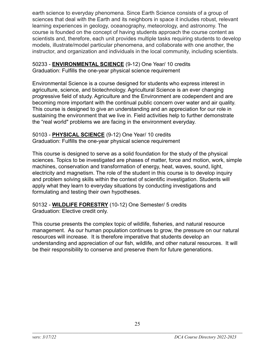earth science to everyday phenomena. Since Earth Science consists of a group of sciences that deal with the Earth and its neighbors in space it includes robust, relevant learning experiences in geology, oceanography, meteorology, and astronomy. The course is founded on the concept of having students approach the course content as scientists and, therefore, each unit provides multiple tasks requiring students to develop models, illustrate/model particular phenomena, and collaborate with one another, the instructor, and organization and individuals in the local community, including scientists.

50233 - **ENVIRONMENTAL SCIENCE** (9-12) One Year/ 10 credits Graduation: Fulfills the one-year physical science requirement

Environmental Science is a course designed for students who express interest in agriculture, science, and biotechnology. Agricultural Science is an ever changing progressive field of study. Agriculture and the Environment are codependent and are becoming more important with the continual public concern over water and air quality. This course is designed to give an understanding and an appreciation for our role in sustaining the environment that we live in. Field activities help to further demonstrate the "real world" problems we are facing in the environment everyday.

50103 - **PHYSICAL SCIENCE** (9-12) One Year/ 10 credits Graduation: Fulfills the one-year physical science requirement

This course is designed to serve as a solid foundation for the study of the physical sciences. Topics to be investigated are phases of matter, force and motion, work, simple machines, conservation and transformation of energy, heat, waves, sound, light, electricity and magnetism. The role of the student in this course is to develop inquiry and problem solving skills within the context of scientific investigation. Students will apply what they learn to everyday situations by conducting investigations and formulating and testing their own hypotheses.

50132 - **WILDLIFE FORESTRY** (10-12) One Semester/ 5 credits Graduation: Elective credit only.

This course presents the complex topic of wildlife, fisheries, and natural resource management. As our human population continues to grow, the pressure on our natural resources will increase. It is therefore imperative that students develop an understanding and appreciation of our fish, wildlife, and other natural resources. It will be their responsibility to conserve and preserve them for future generations.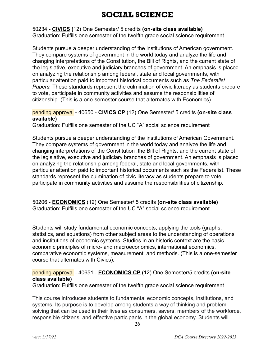## SOCIAL SCIENCE

<span id="page-25-0"></span>50234 - **CIVICS (**12) One Semester/ 5 credits **(on-site class available)** Graduation: Fulfills one semester of the twelfth grade social science requirement

Students pursue a deeper understanding of the institutions of American government. They compare systems of government in the world today and analyze the life and changing interpretations of the Constitution, the Bill of Rights, and the current state of the legislative, executive and judiciary branches of government. An emphasis is placed on analyzing the relationship among federal, state and local governments, with particular attention paid to important historical documents such as *The Federalist Papers.* These standards represent the culmination of civic literacy as students prepare to vote, participate in community activities and assume the responsibilities of citizenship. (This is a one-semester course that alternates with Economics).

#### pending approval - 40650 - **CIVICS CP** (12) One Semester/ 5 credits **(on-site class available)**

Graduation: Fulfills one semester of the UC "A" social science requirement

Students pursue a deeper understanding of the institutions of American Government. They compare systems of government in the world today and analyze the life and changing interpretations of the Constitution ,the Bill of Rights, and the current state of the legislative, executive and judiciary branches of government. An emphasis is placed on analyzing the relationship among federal, state and local governments, with particular attention paid to important historical documents such as the Federalist. These standards represent the culmination of civic literacy as students prepare to vote, participate in community activities and assume the responsibilities of citizenship.

50206 - **ECONOMICS** (12) One Semester/ 5 credits **(on-site class available)** Graduation: Fulfills one semester of the UC "A" social science requirement

Students will study fundamental economic concepts, applying the tools (graphs, statistics, and equations) from other subject areas to the understanding of operations and institutions of economic systems. Studies in an historic context are the basic economic principles of micro- and macroeconomics, international economics, comparative economic systems, measurement, and methods. (This is a one-semester course that alternates with Civics).

#### pending approval - 40651 - **ECONOMICS CP** (12) One Semester/5 credits **(on-site class available)**

Graduation: Fulfills one semester of the twelfth grade social science requirement

This course introduces students to fundamental economic concepts, institutions, and systems. Its purpose is to develop among students a way of thinking and problem solving that can be used in their lives as consumers, savers, members of the workforce, responsible citizens, and effective participants in the global economy. Students will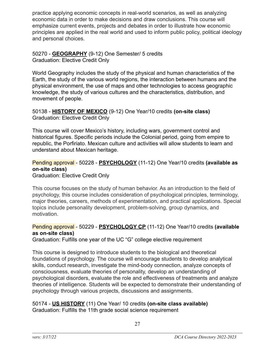practice applying economic concepts in real-world scenarios, as well as analyzing economic data in order to make decisions and draw conclusions. This course will emphasize current events, projects and debates in order to illustrate how economic principles are applied in the real world and used to inform public policy, political ideology and personal choices.

50270 - **GEOGRAPHY** (9-12) One Semester/ 5 credits Graduation: Elective Credit Only

World Geography includes the study of the physical and human characteristics of the Earth, the study of the various world regions, the interaction between humans and the physical environment, the use of maps and other technologies to access geographic knowledge, the study of various cultures and the characteristics, distribution, and movement of people.

50138 - **HISTORY OF MEXICO** (9-12) One Year/10 credits **(on-site class)** Graduation: Elective Credit Only

This course will cover Mexico's history, including wars, government control and historical figures. Specific periods include the Colonial period, going from empire to republic, the Porfiriato. Mexican culture and activities will allow students to learn and understand about Mexican heritage.

#### Pending approval - 50228 - **PSYCHOLOGY** (11-12) One Year/10 credits **(available as on-site class)**

Graduation: Elective Credit Only

This course focuses on the study of human behavior. As an introduction to the field of psychology, this course includes consideration of psychological principles, terminology, major theories, careers, methods of experimentation, and practical applications. Special topics include personality development, problem-solving, group dynamics, and motivation.

#### Pending approval - 50229 - **PSYCHOLOGY CP** (11-12) One Year/10 credits **(available as on-site class)**

Graduation: Fulfills one year of the UC "G" college elective requirement

This course is designed to introduce students to the biological and theoretical foundations of psychology. The course will encourage students to develop analytical skills, conduct research, investigate the mind-body connection, analyze concepts of consciousness, evaluate theories of personality, develop an understanding of psychological disorders, evaluate the role and effectiveness of treatments and analyze theories of intelligence. Students will be expected to demonstrate their understanding of psychology through various projects, discussions and assignments.

#### 50174 - **US HISTORY** (11) One Year/ 10 credits **(on-site class available)** Graduation: Fulfills the 11th grade social science requirement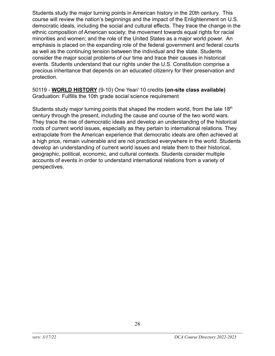Students study the major turning points in American history in the 20th century. This course will review the nation's beginnings and the impact of the Enlightenment on U.S. democratic ideals, including the social and cultural effects. They trace the change in the ethnic composition of American society; the movement towards equal rights for racial minorities and women; and the role of the United States as a major world power. An emphasis is placed on the expanding role of the federal government and federal courts as well as the continuing tension between the individual and the state. Students consider the major social problems of our time and trace their causes in historical events. Students understand that our rights under the U.S. Constitution comprise a precious inheritance that depends on an educated citizenry for their preservation and protection.

50119 - **WORLD HISTORY** (9-10) One Year/ 10 credits **(on-site class available)** Graduation: Fulfills the 10th grade social science requirement

Students study major turning points that shaped the modern world, from the late  $18<sup>th</sup>$ century through the present, including the cause and course of the two world wars. They trace the rise of democratic ideas and develop an understanding of the historical roots of current world issues, especially as they pertain to international relations. They extrapolate from the American experience that democratic ideals are often achieved at a high price, remain vulnerable and are not practiced everywhere in the world. Students develop an understanding of current world issues and relate them to their historical, geographic, political, economic, and cultural contexts. Students consider multiple accounts of events in order to understand international relations from a variety of perspectives.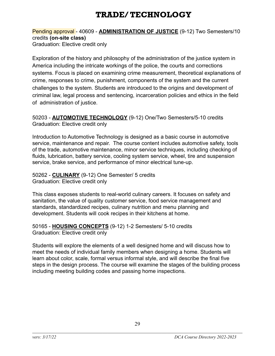## TRADE/ TECHNOLOGY

#### <span id="page-28-0"></span>Pending approval - 40609 - **ADMINISTRATION OF JUSTICE** (9-12) Two Semesters/10 credits **(on-site class)** Graduation: Elective credit only

Exploration of the history and philosophy of the administration of the justice system in America including the intricate workings of the police, the courts and corrections systems. Focus is placed on examining crime measurement, theoretical explanations of crime, responses to crime, punishment, components of the system and the current challenges to the system. Students are introduced to the origins and development of criminal law, legal process and sentencing, incarceration policies and ethics in the field of administration of justice.

50203 - **AUTOMOTIVE TECHNOLOGY** (9-12) One/Two Semesters/5-10 credits Graduation: Elective credit only

Introduction to Automotive Technology is designed as a basic course in automotive service, maintenance and repair. The course content includes automotive safety, tools of the trade, automotive maintenance, minor service techniques, including checking of fluids, lubrication, battery service, cooling system service, wheel, tire and suspension service, brake service, and performance of minor electrical tune-up.

50262 - **CULINARY** (9-12) One Semester/ 5 credits Graduation: Elective credit only

This class exposes students to real-world culinary careers. It focuses on safety and sanitation, the value of quality customer service, food service management and standards, standardized recipes, culinary nutrition and menu planning and development. Students will cook recipes in their kitchens at home.

50165 - **HOUSING CONCEPTS** (9-12) 1-2 Semesters/ 5-10 credits Graduation: Elective credit only

Students will explore the elements of a well designed home and will discuss how to meet the needs of individual family members when designing a home. Students will learn about color, scale, formal versus informal style, and will describe the final five steps in the design process. The course will examine the stages of the building process including meeting building codes and passing home inspections.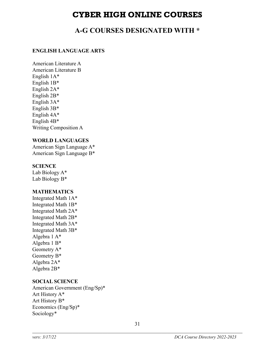### CYBER HIGH ONLINE COURSES

### **A-G COURSES DESIGNATED WITH \***

#### <span id="page-30-0"></span>**ENGLISH LANGUAGE ARTS**

American Literature A American Literature B English 1A\* English 1B\* English 2A\* English 2B\* English 3A\* English 3B\* English 4A\* English 4B\* Writing Composition A

#### **WORLD LANGUAGES**

American Sign Language A\* American Sign Language B\*

#### **SCIENCE**

Lab Biology A\* Lab Biology B\*

#### **MATHEMATICS**

Integrated Math 1A\* Integrated Math 1B\* Integrated Math 2A\* Integrated Math 2B\* Integrated Math 3A\* Integrated Math 3B\* Algebra 1 A\* Algebra 1 B\* Geometry A\* Geometry B\* Algebra 2A\* Algebra 2B\*

#### **SOCIAL SCIENCE**

American Government (Eng/Sp)\* Art History A\* Art History B\* Economics (Eng/Sp)\* Sociology\*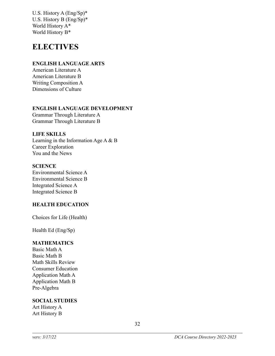U.S. History A (Eng/Sp)\* U.S. History B (Eng/Sp)\* World History A\* World History B\*

## **ELECTIVES**

#### **ENGLISH LANGUAGE ARTS**

American Literature A American Literature B Writing Composition A Dimensions of Culture

#### **ENGLISH LANGUAGE DEVELOPMENT**

Grammar Through Literature A Grammar Through Literature B

#### **LIFE SKILLS**

Learning in the Information Age A & B Career Exploration You and the News

#### **SCIENCE**

Environmental Science A Environmental Science B Integrated Science A Integrated Science B

#### **HEALTH EDUCATION**

Choices for Life (Health)

Health Ed (Eng/Sp)

#### **MATHEMATICS**

Basic Math A Basic Math B Math Skills Review Consumer Education Application Math A Application Math B Pre-Algebra

#### **SOCIAL STUDIES**

Art History A Art History B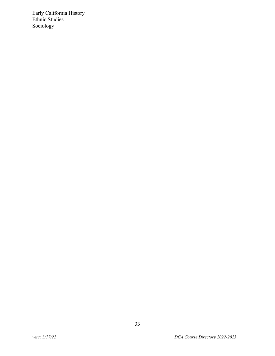Early California History Ethnic Studies Sociology